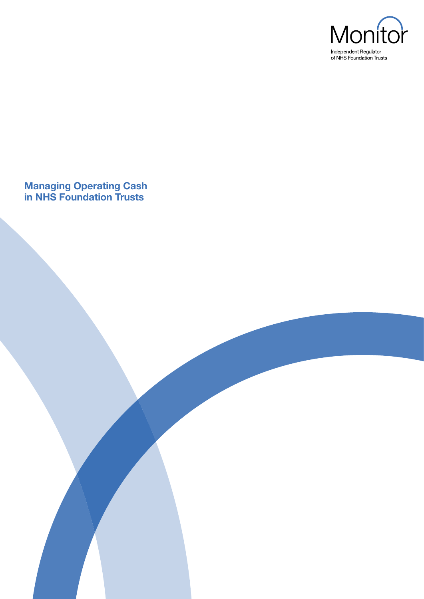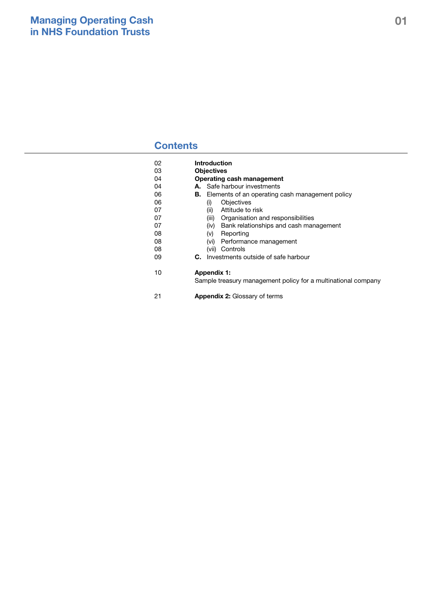## **Contents**

| 02 | <b>Introduction</b>                                                                 |
|----|-------------------------------------------------------------------------------------|
| 03 | <b>Objectives</b>                                                                   |
| 04 | Operating cash management                                                           |
| 04 | <b>A.</b> Safe harbour investments                                                  |
| 06 | <b>B.</b> Elements of an operating cash management policy                           |
| 06 | <b>Objectives</b><br>(i)                                                            |
| 07 | Attitude to risk<br>(ii)                                                            |
| 07 | (iii) Organisation and responsibilities                                             |
| 07 | (iv) Bank relationships and cash management                                         |
| 08 | (v)<br>Reporting                                                                    |
| 08 | Performance management<br>(vi)                                                      |
| 08 | (vii) Controls                                                                      |
| 09 | Investments outside of safe harbour<br>C.                                           |
| 10 | <b>Appendix 1:</b><br>Sample treasury management policy for a multinational company |
| 21 | <b>Appendix 2: Glossary of terms</b>                                                |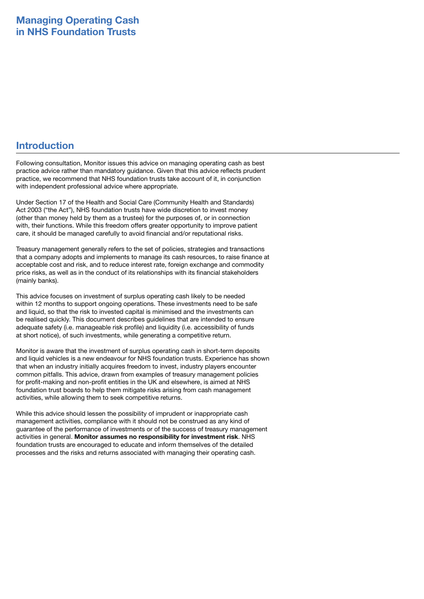## **Introduction**

Following consultation, Monitor issues this advice on managing operating cash as best practice advice rather than mandatory guidance. Given that this advice reflects prudent practice, we recommend that NHS foundation trusts take account of it, in conjunction with independent professional advice where appropriate.

Under Section 17 of the Health and Social Care (Community Health and Standards) Act 2003 ("the Act"), NHS foundation trusts have wide discretion to invest money (other than money held by them as a trustee) for the purposes of, or in connection with, their functions. While this freedom offers greater opportunity to improve patient care, it should be managed carefully to avoid financial and/or reputational risks.

Treasury management generally refers to the set of policies, strategies and transactions that a company adopts and implements to manage its cash resources, to raise finance at acceptable cost and risk, and to reduce interest rate, foreign exchange and commodity price risks, as well as in the conduct of its relationships with its financial stakeholders (mainly banks).

This advice focuses on investment of surplus operating cash likely to be needed within 12 months to support ongoing operations. These investments need to be safe and liquid, so that the risk to invested capital is minimised and the investments can be realised quickly. This document describes guidelines that are intended to ensure adequate safety (i.e. manageable risk profile) and liquidity (i.e. accessibility of funds at short notice), of such investments, while generating a competitive return.

Monitor is aware that the investment of surplus operating cash in short-term deposits and liquid vehicles is a new endeavour for NHS foundation trusts. Experience has shown that when an industry initially acquires freedom to invest, industry players encounter common pitfalls. This advice, drawn from examples of treasury management policies for profit-making and non-profit entities in the UK and elsewhere, is aimed at NHS foundation trust boards to help them mitigate risks arising from cash management activities, while allowing them to seek competitive returns.

While this advice should lessen the possibility of imprudent or inappropriate cash management activities, compliance with it should not be construed as any kind of guarantee of the performance of investments or of the success of treasury management activities in general. **Monitor assumes no responsibility for investment risk**. NHS foundation trusts are encouraged to educate and inform themselves of the detailed processes and the risks and returns associated with managing their operating cash.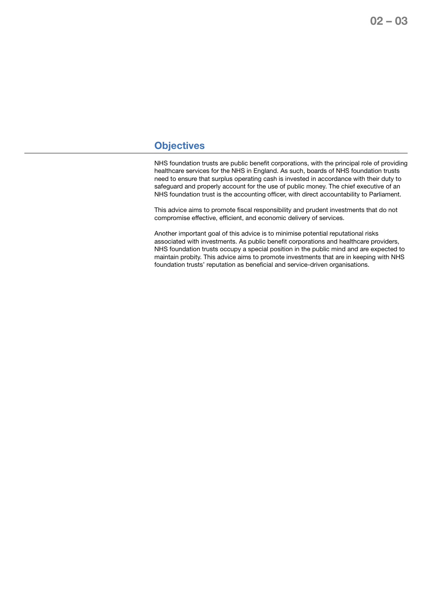## **Objectives**

NHS foundation trusts are public benefit corporations, with the principal role of providing healthcare services for the NHS in England. As such, boards of NHS foundation trusts need to ensure that surplus operating cash is invested in accordance with their duty to safeguard and properly account for the use of public money. The chief executive of an NHS foundation trust is the accounting officer, with direct accountability to Parliament.

This advice aims to promote fiscal responsibility and prudent investments that do not compromise effective, efficient, and economic delivery of services.

Another important goal of this advice is to minimise potential reputational risks associated with investments. As public benefit corporations and healthcare providers, NHS foundation trusts occupy a special position in the public mind and are expected to maintain probity. This advice aims to promote investments that are in keeping with NHS foundation trusts' reputation as beneficial and service-driven organisations.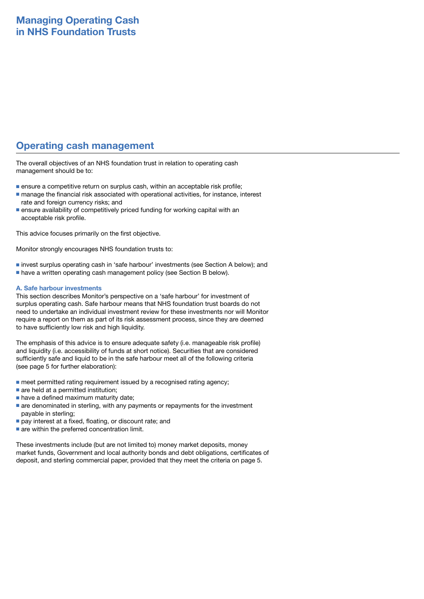## **Operating cash management**

The overall objectives of an NHS foundation trust in relation to operating cash management should be to:

- ensure a competitive return on surplus cash, within an acceptable risk profile;
- manage the financial risk associated with operational activities, for instance, interest rate and foreign currency risks; and
- ensure availability of competitively priced funding for working capital with an acceptable risk profile.

This advice focuses primarily on the first objective.

Monitor strongly encourages NHS foundation trusts to:

- invest surplus operating cash in 'safe harbour' investments (see Section A below); and
- have a written operating cash management policy (see Section B below).

### **A. Safe harbour investments**

This section describes Monitor's perspective on a 'safe harbour' for investment of surplus operating cash. Safe harbour means that NHS foundation trust boards do not need to undertake an individual investment review for these investments nor will Monitor require a report on them as part of its risk assessment process, since they are deemed to have sufficiently low risk and high liquidity.

The emphasis of this advice is to ensure adequate safety (i.e. manageable risk profile) and liquidity (i.e. accessibility of funds at short notice). Securities that are considered sufficiently safe and liquid to be in the safe harbour meet all of the following criteria (see page 5 for further elaboration):

- meet permitted rating requirement issued by a recognised rating agency;
- are held at a permitted institution:
- have a defined maximum maturity date;
- are denominated in sterling, with any payments or repayments for the investment payable in sterling;
- pay interest at a fixed, floating, or discount rate; and
- are within the preferred concentration limit.

These investments include (but are not limited to) money market deposits, money market funds, Government and local authority bonds and debt obligations, certificates of deposit, and sterling commercial paper, provided that they meet the criteria on page 5.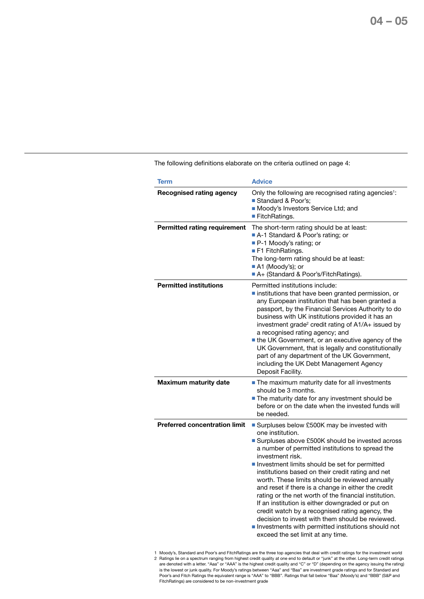**Term Advice Recognised rating agency** Only the following are recognised rating agencies<sup>1</sup>: ■ Standard & Poor's: ■ Moody's Investors Service Ltd; and ■ FitchRatings. **Permitted rating requirement** The short-term rating should be at least: ■ A-1 Standard & Poor's rating; or ■ P-1 Moody's rating; or ■ F1 FitchRatings. The long-term rating should be at least: ■ A1 (Moody's); or ■ A+ (Standard & Poor's/FitchRatings). **Permitted institutions** Permitted institutions include: ■ institutions that have been granted permission, or any European institution that has been granted a passport, by the Financial Services Authority to do business with UK institutions provided it has an investment grade<sup>2</sup> credit rating of  $A1/A +$  issued by a recognised rating agency; and ■ the UK Government, or an executive agency of the UK Government, that is legally and constitutionally part of any department of the UK Government, including the UK Debt Management Agency Deposit Facility. **Maximum maturity date ■** The maximum maturity date for all investments should be 3 months. ■ The maturity date for any investment should be before or on the date when the invested funds will be needed. **Preferred concentration limit** ■ Surpluses below £500K may be invested with one institution. ■ Surpluses above £500K should be invested across a number of permitted institutions to spread the investment risk. ■ Investment limits should be set for permitted institutions based on their credit rating and net worth. These limits should be reviewed annually and reset if there is a change in either the credit rating or the net worth of the financial institution. If an institution is either downgraded or put on credit watch by a recognised rating agency, the decision to invest with them should be reviewed. ■ Investments with permitted institutions should not exceed the set limit at any time.

The following definitions elaborate on the criteria outlined on page 4:

1 Moody's, Standard and Poor's and FitchRatings are the three top agencies that deal with credit ratings for the investment world 2 Ratings lie on a spectrum ranging from highest credit quality at one end to default or "junk" at the other. Long-term credit ratings are denoted with a letter. "Aaa" or "AAA" is the highest credit quality and "C" or "D" (depending on the agency issuing the rating) is the lowest or junk quality. For Moody's ratings between "Aaa" and "Baa" are investment grade ratings and for Standard and Poor's and Fitch Ratings the equivalent range is "AAA" to "BBB". Ratings that fall below "Baa" (Moody's) and "BBB" (S&P and FitchRatings) are considered to be non-investment grade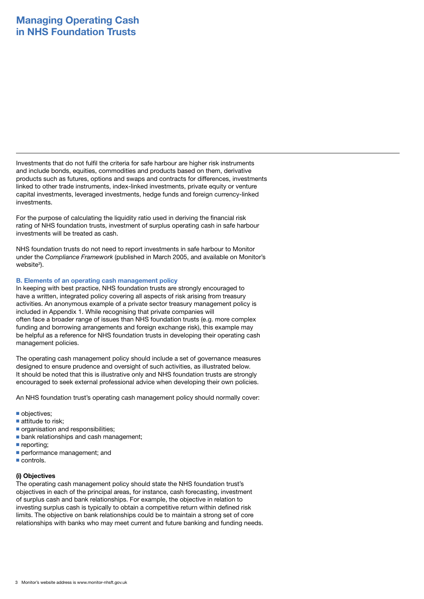Investments that do not fulfil the criteria for safe harbour are higher risk instruments and include bonds, equities, commodities and products based on them, derivative products such as futures, options and swaps and contracts for differences, investments linked to other trade instruments, index-linked investments, private equity or venture capital investments, leveraged investments, hedge funds and foreign currency-linked investments.

For the purpose of calculating the liquidity ratio used in deriving the financial risk rating of NHS foundation trusts, investment of surplus operating cash in safe harbour investments will be treated as cash.

NHS foundation trusts do not need to report investments in safe harbour to Monitor under the *Compliance Framework* (published in March 2005, and available on Monitor's website<sup>3</sup>).

### **B. Elements of an operating cash management policy**

In keeping with best practice, NHS foundation trusts are strongly encouraged to have a written, integrated policy covering all aspects of risk arising from treasury activities. An anonymous example of a private sector treasury management policy is included in Appendix 1. While recognising that private companies will often face a broader range of issues than NHS foundation trusts (e.g. more complex funding and borrowing arrangements and foreign exchange risk), this example may be helpful as a reference for NHS foundation trusts in developing their operating cash management policies.

The operating cash management policy should include a set of governance measures designed to ensure prudence and oversight of such activities, as illustrated below. It should be noted that this is illustrative only and NHS foundation trusts are strongly encouraged to seek external professional advice when developing their own policies.

An NHS foundation trust's operating cash management policy should normally cover:

- objectives;
- attitude to risk;
- organisation and responsibilities;
- bank relationships and cash management;
- reporting;
- performance management; and
- controls.

### **(i) Objectives**

The operating cash management policy should state the NHS foundation trust's objectives in each of the principal areas, for instance, cash forecasting, investment of surplus cash and bank relationships. For example, the objective in relation to investing surplus cash is typically to obtain a competitive return within defined risk limits. The objective on bank relationships could be to maintain a strong set of core relationships with banks who may meet current and future banking and funding needs.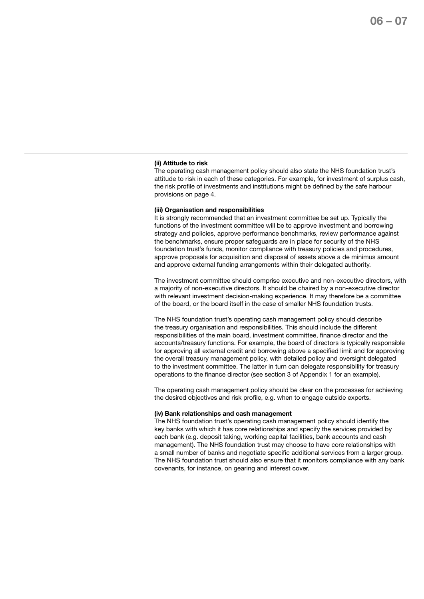### **(ii) Attitude to risk**

The operating cash management policy should also state the NHS foundation trust's attitude to risk in each of these categories. For example, for investment of surplus cash, the risk profile of investments and institutions might be defined by the safe harbour provisions on page 4.

### **(iii) Organisation and responsibilities**

It is strongly recommended that an investment committee be set up. Typically the functions of the investment committee will be to approve investment and borrowing strategy and policies, approve performance benchmarks, review performance against the benchmarks, ensure proper safeguards are in place for security of the NHS foundation trust's funds, monitor compliance with treasury policies and procedures, approve proposals for acquisition and disposal of assets above a de minimus amount and approve external funding arrangements within their delegated authority.

The investment committee should comprise executive and non-executive directors, with a majority of non-executive directors. It should be chaired by a non-executive director with relevant investment decision-making experience. It may therefore be a committee of the board, or the board itself in the case of smaller NHS foundation trusts.

The NHS foundation trust's operating cash management policy should describe the treasury organisation and responsibilities. This should include the different responsibilities of the main board, investment committee, finance director and the accounts/treasury functions. For example, the board of directors is typically responsible for approving all external credit and borrowing above a specified limit and for approving the overall treasury management policy, with detailed policy and oversight delegated to the investment committee. The latter in turn can delegate responsibility for treasury operations to the finance director (see section 3 of Appendix 1 for an example).

The operating cash management policy should be clear on the processes for achieving the desired objectives and risk profile, e.g. when to engage outside experts.

### **(iv) Bank relationships and cash management**

The NHS foundation trust's operating cash management policy should identify the key banks with which it has core relationships and specify the services provided by each bank (e.g. deposit taking, working capital facilities, bank accounts and cash management). The NHS foundation trust may choose to have core relationships with a small number of banks and negotiate specific additional services from a larger group. The NHS foundation trust should also ensure that it monitors compliance with any bank covenants, for instance, on gearing and interest cover.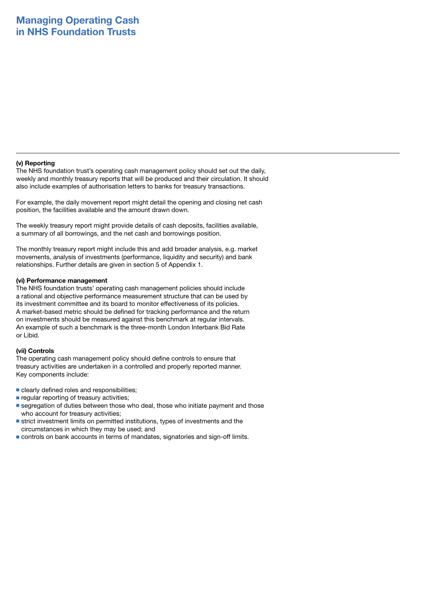### **(v) Reporting**

The NHS foundation trust's operating cash management policy should set out the daily, weekly and monthly treasury reports that will be produced and their circulation. It should also include examples of authorisation letters to banks for treasury transactions.

For example, the daily movement report might detail the opening and closing net cash position, the facilities available and the amount drawn down.

The weekly treasury report might provide details of cash deposits, facilities available, a summary of all borrowings, and the net cash and borrowings position.

The monthly treasury report might include this and add broader analysis, e.g. market movements, analysis of investments (performance, liquidity and security) and bank relationships. Further details are given in section 5 of Appendix 1.

### **(vi) Performance management**

The NHS foundation trusts' operating cash management policies should include a rational and objective performance measurement structure that can be used by its investment committee and its board to monitor effectiveness of its policies. A market-based metric should be defined for tracking performance and the return on investments should be measured against this benchmark at regular intervals. An example of such a benchmark is the three-month London Interbank Bid Rate or Libid.

### **(vii) Controls**

The operating cash management policy should define controls to ensure that treasury activities are undertaken in a controlled and properly reported manner. Key components include:

- clearly defined roles and responsibilities:
- regular reporting of treasury activities;
- segregation of duties between those who deal, those who initiate payment and those who account for treasury activities;
- strict investment limits on permitted institutions, types of investments and the circumstances in which they may be used; and
- controls on bank accounts in terms of mandates, signatories and sign-off limits.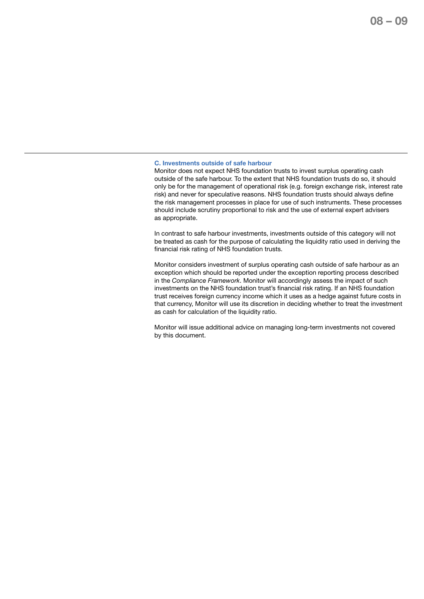### **C. Investments outside of safe harbour**

Monitor does not expect NHS foundation trusts to invest surplus operating cash outside of the safe harbour. To the extent that NHS foundation trusts do so, it should only be for the management of operational risk (e.g. foreign exchange risk, interest rate risk) and never for speculative reasons. NHS foundation trusts should always define the risk management processes in place for use of such instruments. These processes should include scrutiny proportional to risk and the use of external expert advisers as appropriate.

In contrast to safe harbour investments, investments outside of this category will not be treated as cash for the purpose of calculating the liquidity ratio used in deriving the financial risk rating of NHS foundation trusts.

Monitor considers investment of surplus operating cash outside of safe harbour as an exception which should be reported under the exception reporting process described in the *Compliance Framework*. Monitor will accordingly assess the impact of such investments on the NHS foundation trust's financial risk rating. If an NHS foundation trust receives foreign currency income which it uses as a hedge against future costs in that currency, Monitor will use its discretion in deciding whether to treat the investment as cash for calculation of the liquidity ratio.

Monitor will issue additional advice on managing long-term investments not covered by this document.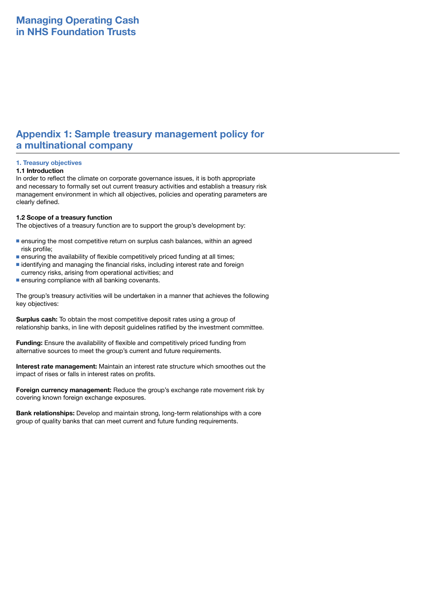## **Appendix 1: Sample treasury management policy for a multinational company**

### **1. Treasury objectives**

### **1.1 Introduction**

In order to reflect the climate on corporate governance issues, it is both appropriate and necessary to formally set out current treasury activities and establish a treasury risk management environment in which all objectives, policies and operating parameters are clearly defined.

### **1.2 Scope of a treasury function**

The objectives of a treasury function are to support the group's development by:

- ensuring the most competitive return on surplus cash balances, within an agreed risk profile;
- ensuring the availability of flexible competitively priced funding at all times;
- identifying and managing the financial risks, including interest rate and foreign currency risks, arising from operational activities; and
- ensuring compliance with all banking covenants.

The group's treasury activities will be undertaken in a manner that achieves the following key objectives:

**Surplus cash:** To obtain the most competitive deposit rates using a group of relationship banks, in line with deposit guidelines ratified by the investment committee.

**Funding:** Ensure the availability of flexible and competitively priced funding from alternative sources to meet the group's current and future requirements.

**Interest rate management:** Maintain an interest rate structure which smoothes out the impact of rises or falls in interest rates on profits.

**Foreign currency management:** Reduce the group's exchange rate movement risk by covering known foreign exchange exposures.

**Bank relationships:** Develop and maintain strong, long-term relationships with a core group of quality banks that can meet current and future funding requirements.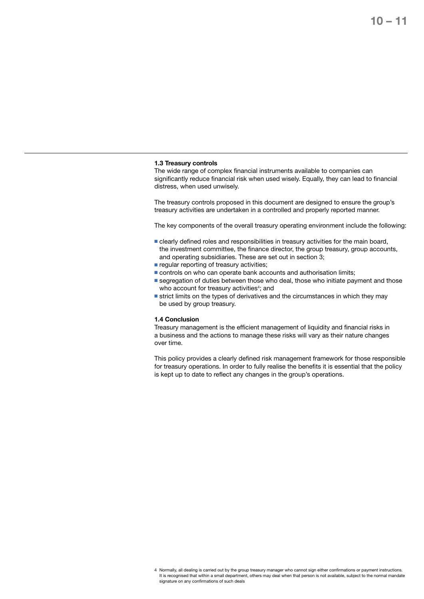### **1.3 Treasury controls**

The wide range of complex financial instruments available to companies can significantly reduce financial risk when used wisely. Equally, they can lead to financial distress, when used unwisely.

The treasury controls proposed in this document are designed to ensure the group's treasury activities are undertaken in a controlled and properly reported manner.

The key components of the overall treasury operating environment include the following:

- clearly defined roles and responsibilities in treasury activities for the main board, the investment committee, the finance director, the group treasury, group accounts, and operating subsidiaries. These are set out in section 3;
- regular reporting of treasury activities;
- controls on who can operate bank accounts and authorisation limits;
- segregation of duties between those who deal, those who initiate payment and those who account for treasury activities<sup>4</sup>; and
- strict limits on the types of derivatives and the circumstances in which they may be used by group treasury.

### **1.4 Conclusion**

Treasury management is the efficient management of liquidity and financial risks in a business and the actions to manage these risks will vary as their nature changes over time.

This policy provides a clearly defined risk management framework for those responsible for treasury operations. In order to fully realise the benefits it is essential that the policy is kept up to date to reflect any changes in the group's operations.

<sup>4</sup> Normally, all dealing is carried out by the group treasury manager who cannot sign either confirmations or payment instructions. It is recognised that within a small department, others may deal when that person is not available, subject to the normal mandate signature on any confirmations of such deals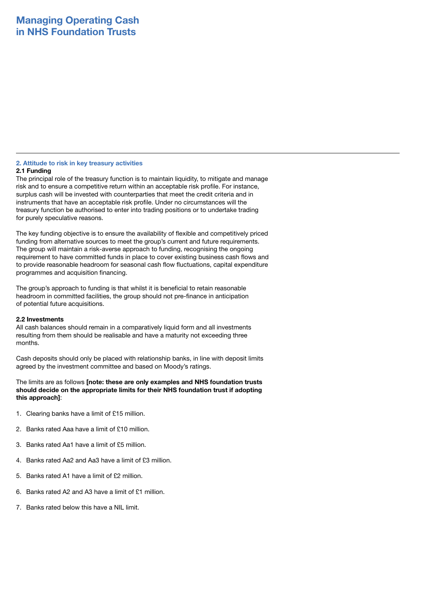### **2. Attitude to risk in key treasury activities**

### **2.1 Funding**

The principal role of the treasury function is to maintain liquidity, to mitigate and manage risk and to ensure a competitive return within an acceptable risk profile. For instance, surplus cash will be invested with counterparties that meet the credit criteria and in instruments that have an acceptable risk profile. Under no circumstances will the treasury function be authorised to enter into trading positions or to undertake trading for purely speculative reasons.

The key funding objective is to ensure the availability of flexible and competitively priced funding from alternative sources to meet the group's current and future requirements. The group will maintain a risk-averse approach to funding, recognising the ongoing requirement to have committed funds in place to cover existing business cash flows and to provide reasonable headroom for seasonal cash flow fluctuations, capital expenditure programmes and acquisition financing.

The group's approach to funding is that whilst it is beneficial to retain reasonable headroom in committed facilities, the group should not pre-finance in anticipation of potential future acquisitions.

### **2.2 Investments**

All cash balances should remain in a comparatively liquid form and all investments resulting from them should be realisable and have a maturity not exceeding three months.

Cash deposits should only be placed with relationship banks, in line with deposit limits agreed by the investment committee and based on Moody's ratings.

The limits are as follows **[note: these are only examples and NHS foundation trusts should decide on the appropriate limits for their NHS foundation trust if adopting this approach]**:

- 1. Clearing banks have a limit of £15 million.
- 2. Banks rated Aaa have a limit of £10 million.
- 3. Banks rated Aa1 have a limit of £5 million.
- 4. Banks rated Aa2 and Aa3 have a limit of £3 million.
- 5. Banks rated A1 have a limit of £2 million.
- 6. Banks rated A2 and A3 have a limit of £1 million.
- 7. Banks rated below this have a NIL limit.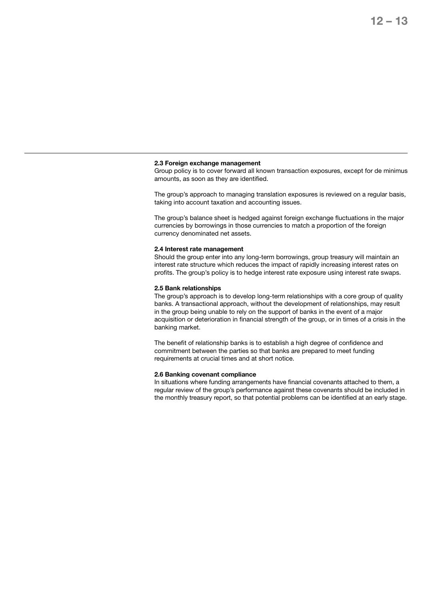## **12 – 13**

### **2.3 Foreign exchange management**

Group policy is to cover forward all known transaction exposures, except for de minimus amounts, as soon as they are identified.

The group's approach to managing translation exposures is reviewed on a regular basis, taking into account taxation and accounting issues.

The group's balance sheet is hedged against foreign exchange fluctuations in the major currencies by borrowings in those currencies to match a proportion of the foreign currency denominated net assets.

### **2.4 Interest rate management**

Should the group enter into any long-term borrowings, group treasury will maintain an interest rate structure which reduces the impact of rapidly increasing interest rates on profits. The group's policy is to hedge interest rate exposure using interest rate swaps.

#### **2.5 Bank relationships**

The group's approach is to develop long-term relationships with a core group of quality banks. A transactional approach, without the development of relationships, may result in the group being unable to rely on the support of banks in the event of a major acquisition or deterioration in financial strength of the group, or in times of a crisis in the banking market.

The benefit of relationship banks is to establish a high degree of confidence and commitment between the parties so that banks are prepared to meet funding requirements at crucial times and at short notice.

### **2.6 Banking covenant compliance**

In situations where funding arrangements have financial covenants attached to them, a regular review of the group's performance against these covenants should be included in the monthly treasury report, so that potential problems can be identified at an early stage.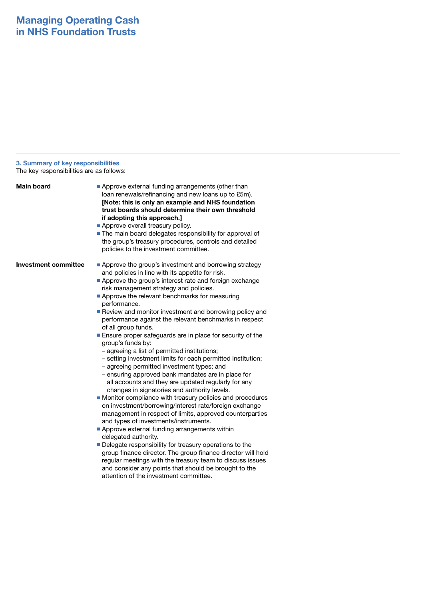### **3. Summary of key responsibilities**

The key responsibilities are as follows:

| Main board                  | Approve external funding arrangements (other than<br>loan renewals/refinancing and new loans up to £5m).<br>[Note: this is only an example and NHS foundation<br>trust boards should determine their own threshold<br>if adopting this approach.]<br>Approve overall treasury policy.<br>The main board delegates responsibility for approval of<br>the group's treasury procedures, controls and detailed<br>policies to the investment committee.                                                                                                                                                                                                                                                                                                                                                                                                                                                                                                                                                                                                                                                                                                                                                                                                                                                                                                                                                                                |
|-----------------------------|------------------------------------------------------------------------------------------------------------------------------------------------------------------------------------------------------------------------------------------------------------------------------------------------------------------------------------------------------------------------------------------------------------------------------------------------------------------------------------------------------------------------------------------------------------------------------------------------------------------------------------------------------------------------------------------------------------------------------------------------------------------------------------------------------------------------------------------------------------------------------------------------------------------------------------------------------------------------------------------------------------------------------------------------------------------------------------------------------------------------------------------------------------------------------------------------------------------------------------------------------------------------------------------------------------------------------------------------------------------------------------------------------------------------------------|
| <b>Investment committee</b> | Approve the group's investment and borrowing strategy<br>and policies in line with its appetite for risk.<br>Approve the group's interest rate and foreign exchange<br>risk management strategy and policies.<br>Approve the relevant benchmarks for measuring<br>performance.<br>Review and monitor investment and borrowing policy and<br>performance against the relevant benchmarks in respect<br>of all group funds.<br>Ensure proper safeguards are in place for security of the<br>group's funds by:<br>- agreeing a list of permitted institutions;<br>- setting investment limits for each permitted institution;<br>- agreeing permitted investment types; and<br>- ensuring approved bank mandates are in place for<br>all accounts and they are updated regularly for any<br>changes in signatories and authority levels.<br>Monitor compliance with treasury policies and procedures<br>on investment/borrowing/interest rate/foreign exchange<br>management in respect of limits, approved counterparties<br>and types of investments/instruments.<br>Approve external funding arrangements within<br>delegated authority.<br>Delegate responsibility for treasury operations to the<br>group finance director. The group finance director will hold<br>regular meetings with the treasury team to discuss issues<br>and consider any points that should be brought to the<br>attention of the investment committee. |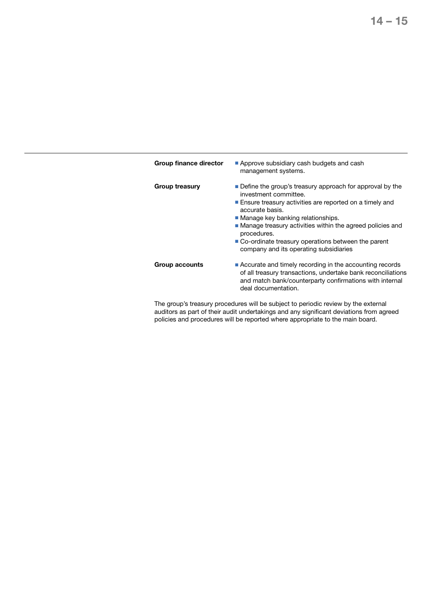| Group finance director | Approve subsidiary cash budgets and cash<br>management systems.                                                                                                                                             |  |
|------------------------|-------------------------------------------------------------------------------------------------------------------------------------------------------------------------------------------------------------|--|
| Group treasury         | Define the group's treasury approach for approval by the<br>investment committee.                                                                                                                           |  |
|                        | Ensure treasury activities are reported on a timely and<br>accurate basis.                                                                                                                                  |  |
|                        | ■ Manage key banking relationships.                                                                                                                                                                         |  |
|                        | Manage treasury activities within the agreed policies and<br>procedures.                                                                                                                                    |  |
|                        | ■ Co-ordinate treasury operations between the parent<br>company and its operating subsidiaries                                                                                                              |  |
| Group accounts         | ■ Accurate and timely recording in the accounting records<br>of all treasury transactions, undertake bank reconciliations<br>and match bank/counterparty confirmations with internal<br>deal documentation. |  |

The group's treasury procedures will be subject to periodic review by the external auditors as part of their audit undertakings and any significant deviations from agreed policies and procedures will be reported where appropriate to the main board.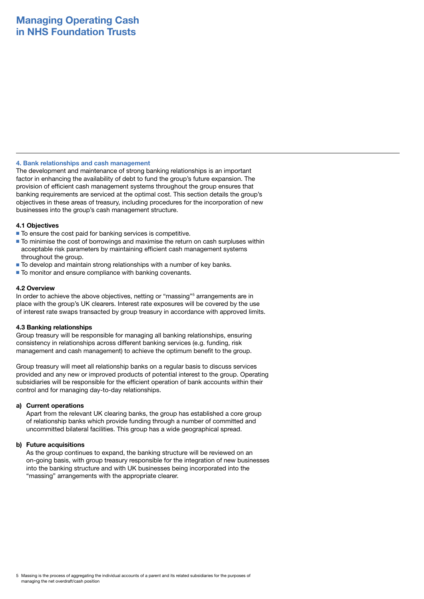### **4. Bank relationships and cash management**

The development and maintenance of strong banking relationships is an important factor in enhancing the availability of debt to fund the group's future expansion. The provision of efficient cash management systems throughout the group ensures that banking requirements are serviced at the optimal cost. This section details the group's objectives in these areas of treasury, including procedures for the incorporation of new businesses into the group's cash management structure.

### **4.1 Objectives**

- To ensure the cost paid for banking services is competitive.
- To minimise the cost of borrowings and maximise the return on cash surpluses within acceptable risk parameters by maintaining efficient cash management systems throughout the group.
- To develop and maintain strong relationships with a number of key banks.
- To monitor and ensure compliance with banking covenants.

### **4.2 Overview**

In order to achieve the above objectives, netting or "massing"<sup>5</sup> arrangements are in place with the group's UK clearers. Interest rate exposures will be covered by the use of interest rate swaps transacted by group treasury in accordance with approved limits.

### **4.3 Banking relationships**

Group treasury will be responsible for managing all banking relationships, ensuring consistency in relationships across different banking services (e.g. funding, risk management and cash management) to achieve the optimum benefit to the group.

Group treasury will meet all relationship banks on a regular basis to discuss services provided and any new or improved products of potential interest to the group. Operating subsidiaries will be responsible for the efficient operation of bank accounts within their control and for managing day-to-day relationships.

### **a) Current operations**

 Apart from the relevant UK clearing banks, the group has established a core group of relationship banks which provide funding through a number of committed and uncommitted bilateral facilities. This group has a wide geographical spread.

### **b) Future acquisitions**

 As the group continues to expand, the banking structure will be reviewed on an on-going basis, with group treasury responsible for the integration of new businesses into the banking structure and with UK businesses being incorporated into the "massing" arrangements with the appropriate clearer.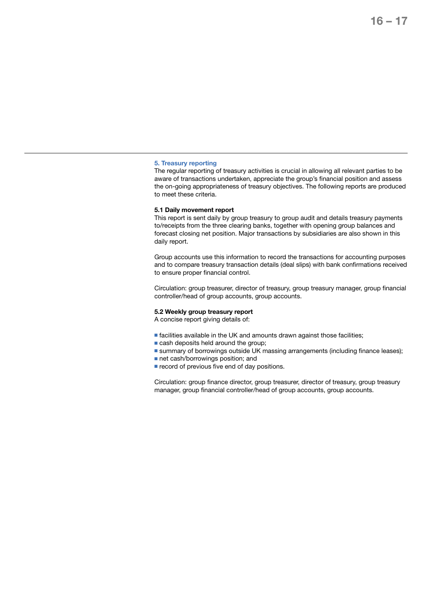### **5. Treasury reporting**

The regular reporting of treasury activities is crucial in allowing all relevant parties to be aware of transactions undertaken, appreciate the group's financial position and assess the on-going appropriateness of treasury objectives. The following reports are produced to meet these criteria.

### **5.1 Daily movement report**

This report is sent daily by group treasury to group audit and details treasury payments to/receipts from the three clearing banks, together with opening group balances and forecast closing net position. Major transactions by subsidiaries are also shown in this daily report.

Group accounts use this information to record the transactions for accounting purposes and to compare treasury transaction details (deal slips) with bank confirmations received to ensure proper financial control.

Circulation: group treasurer, director of treasury, group treasury manager, group financial controller/head of group accounts, group accounts.

### **5.2 Weekly group treasury report**

A concise report giving details of:

- facilities available in the UK and amounts drawn against those facilities;
- cash deposits held around the group;
- summary of borrowings outside UK massing arrangements (including finance leases);
- net cash/borrowings position; and
- record of previous five end of day positions.

Circulation: group finance director, group treasurer, director of treasury, group treasury manager, group financial controller/head of group accounts, group accounts.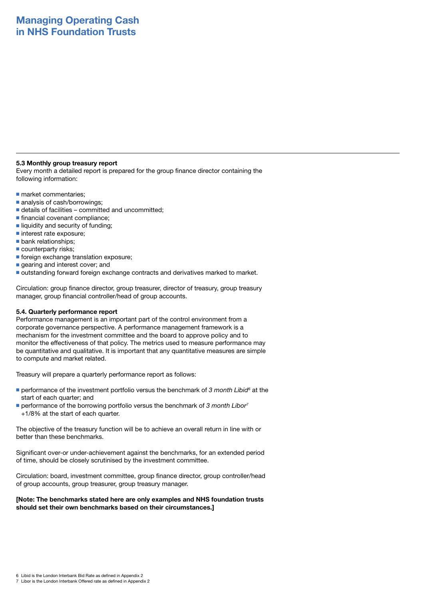### **5.3 Monthly group treasury report**

Every month a detailed report is prepared for the group finance director containing the following information:

- market commentaries;
- analysis of cash/borrowings:
- $\blacksquare$  details of facilities committed and uncommitted:
- financial covenant compliance;
- liquidity and security of funding:
- interest rate exposure;
- bank relationships;
- counterparty risks:
- foreign exchange translation exposure;
- gearing and interest cover; and
- outstanding forward foreign exchange contracts and derivatives marked to market.

Circulation: group finance director, group treasurer, director of treasury, group treasury manager, group financial controller/head of group accounts.

### **5.4. Quarterly performance report**

Performance management is an important part of the control environment from a corporate governance perspective. A performance management framework is a mechanism for the investment committee and the board to approve policy and to monitor the effectiveness of that policy. The metrics used to measure performance may be quantitative and qualitative. It is important that any quantitative measures are simple to compute and market related.

Treasury will prepare a quarterly performance report as follows:

- performance of the investment portfolio versus the benchmark of 3 month Libid<sup>6</sup> at the start of each quarter; and
- performance of the borrowing portfolio versus the benchmark of 3 month Libor<sup>7</sup> +1/8% at the start of each quarter.

The objective of the treasury function will be to achieve an overall return in line with or better than these benchmarks.

Significant over-or under-achievement against the benchmarks, for an extended period of time, should be closely scrutinised by the investment committee.

Circulation: board, investment committee, group finance director, group controller/head of group accounts, group treasurer, group treasury manager.

### **[Note: The benchmarks stated here are only examples and NHS foundation trusts should set their own benchmarks based on their circumstances.]**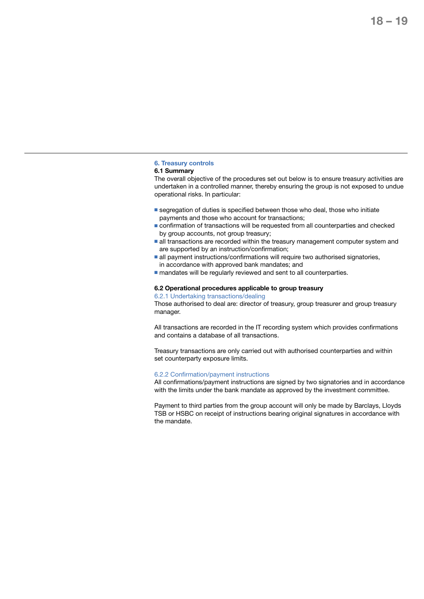### **6. Treasury controls**

### **6.1 Summary**

The overall objective of the procedures set out below is to ensure treasury activities are undertaken in a controlled manner, thereby ensuring the group is not exposed to undue operational risks. In particular:

- segregation of duties is specified between those who deal, those who initiate payments and those who account for transactions;
- confirmation of transactions will be requested from all counterparties and checked by group accounts, not group treasury;
- all transactions are recorded within the treasury management computer system and are supported by an instruction/confirmation;
- all payment instructions/confirmations will require two authorised signatories, in accordance with approved bank mandates; and
- mandates will be regularly reviewed and sent to all counterparties.

### **6.2 Operational procedures applicable to group treasury**

6.2.1 Undertaking transactions/dealing

Those authorised to deal are: director of treasury, group treasurer and group treasury manager.

All transactions are recorded in the IT recording system which provides confirmations and contains a database of all transactions.

Treasury transactions are only carried out with authorised counterparties and within set counterparty exposure limits.

### 6.2.2 Confirmation/payment instructions

All confirmations/payment instructions are signed by two signatories and in accordance with the limits under the bank mandate as approved by the investment committee.

Payment to third parties from the group account will only be made by Barclays, Lloyds TSB or HSBC on receipt of instructions bearing original signatures in accordance with the mandate.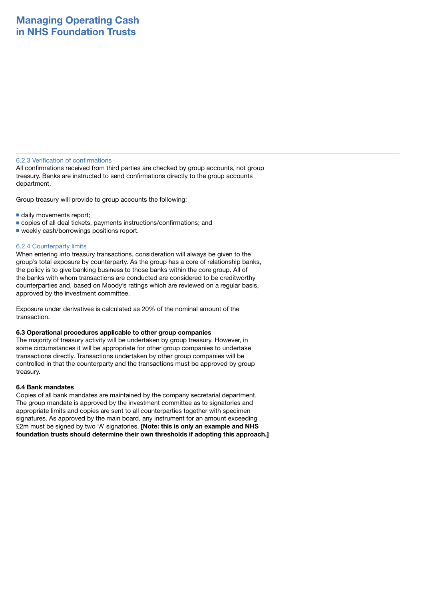### 6.2.3 Verification of confirmations

All confirmations received from third parties are checked by group accounts, not group treasury. Banks are instructed to send confirmations directly to the group accounts department.

Group treasury will provide to group accounts the following:

- daily movements report;
- copies of all deal tickets, payments instructions/confirmations; and
- weekly cash/borrowings positions report.

### 6.2.4 Counterparty limits

When entering into treasury transactions, consideration will always be given to the group's total exposure by counterparty. As the group has a core of relationship banks, the policy is to give banking business to those banks within the core group. All of the banks with whom transactions are conducted are considered to be creditworthy counterparties and, based on Moody's ratings which are reviewed on a regular basis, approved by the investment committee.

Exposure under derivatives is calculated as 20% of the nominal amount of the transaction.

### **6.3 Operational procedures applicable to other group companies**

The majority of treasury activity will be undertaken by group treasury. However, in some circumstances it will be appropriate for other group companies to undertake transactions directly. Transactions undertaken by other group companies will be controlled in that the counterparty and the transactions must be approved by group treasury.

### **6.4 Bank mandates**

Copies of all bank mandates are maintained by the company secretarial department. The group mandate is approved by the investment committee as to signatories and appropriate limits and copies are sent to all counterparties together with specimen signatures. As approved by the main board, any instrument for an amount exceeding £2m must be signed by two 'A' signatories. **[Note: this is only an example and NHS foundation trusts should determine their own thresholds if adopting this approach.]**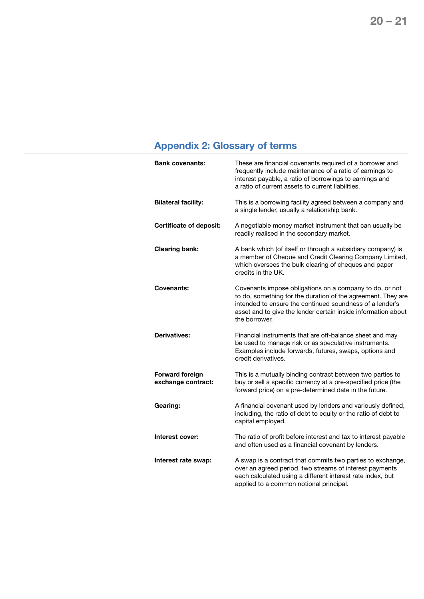# **Appendix 2: Glossary of terms**

| <b>Bank covenants:</b>                       | These are financial covenants required of a borrower and<br>frequently include maintenance of a ratio of earnings to<br>interest payable, a ratio of borrowings to earnings and<br>a ratio of current assets to current liabilities.                                  |
|----------------------------------------------|-----------------------------------------------------------------------------------------------------------------------------------------------------------------------------------------------------------------------------------------------------------------------|
| <b>Bilateral facility:</b>                   | This is a borrowing facility agreed between a company and<br>a single lender, usually a relationship bank.                                                                                                                                                            |
| <b>Certificate of deposit:</b>               | A negotiable money market instrument that can usually be<br>readily realised in the secondary market.                                                                                                                                                                 |
| <b>Clearing bank:</b>                        | A bank which (of itself or through a subsidiary company) is<br>a member of Cheque and Credit Clearing Company Limited,<br>which oversees the bulk clearing of cheques and paper<br>credits in the UK.                                                                 |
| Covenants:                                   | Covenants impose obligations on a company to do, or not<br>to do, something for the duration of the agreement. They are<br>intended to ensure the continued soundness of a lender's<br>asset and to give the lender certain inside information about<br>the borrower. |
| Derivatives:                                 | Financial instruments that are off-balance sheet and may<br>be used to manage risk or as speculative instruments.<br>Examples include forwards, futures, swaps, options and<br>credit derivatives.                                                                    |
| <b>Forward foreign</b><br>exchange contract: | This is a mutually binding contract between two parties to<br>buy or sell a specific currency at a pre-specified price (the<br>forward price) on a pre-determined date in the future.                                                                                 |
| Gearing:                                     | A financial covenant used by lenders and variously defined,<br>including, the ratio of debt to equity or the ratio of debt to<br>capital employed.                                                                                                                    |
| Interest cover:                              | The ratio of profit before interest and tax to interest payable<br>and often used as a financial covenant by lenders.                                                                                                                                                 |
| Interest rate swap:                          | A swap is a contract that commits two parties to exchange,<br>over an agreed period, two streams of interest payments<br>each calculated using a different interest rate index, but<br>applied to a common notional principal.                                        |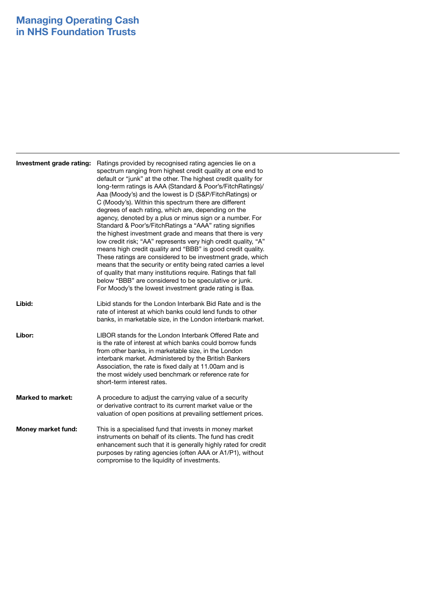| Investment grade rating: | Ratings provided by recognised rating agencies lie on a<br>spectrum ranging from highest credit quality at one end to<br>default or "junk" at the other. The highest credit quality for<br>long-term ratings is AAA (Standard & Poor's/FitchRatings)/<br>Aaa (Moody's) and the lowest is D (S&P/FitchRatings) or<br>C (Moody's). Within this spectrum there are different<br>degrees of each rating, which are, depending on the<br>agency, denoted by a plus or minus sign or a number. For<br>Standard & Poor's/FitchRatings a "AAA" rating signifies<br>the highest investment grade and means that there is very<br>low credit risk; "AA" represents very high credit quality, "A"<br>means high credit quality and "BBB" is good credit quality.<br>These ratings are considered to be investment grade, which<br>means that the security or entity being rated carries a level<br>of quality that many institutions require. Ratings that fall<br>below "BBB" are considered to be speculative or junk.<br>For Moody's the lowest investment grade rating is Baa. |
|--------------------------|-------------------------------------------------------------------------------------------------------------------------------------------------------------------------------------------------------------------------------------------------------------------------------------------------------------------------------------------------------------------------------------------------------------------------------------------------------------------------------------------------------------------------------------------------------------------------------------------------------------------------------------------------------------------------------------------------------------------------------------------------------------------------------------------------------------------------------------------------------------------------------------------------------------------------------------------------------------------------------------------------------------------------------------------------------------------------|
| Libid:                   | Libid stands for the London Interbank Bid Rate and is the<br>rate of interest at which banks could lend funds to other<br>banks, in marketable size, in the London interbank market.                                                                                                                                                                                                                                                                                                                                                                                                                                                                                                                                                                                                                                                                                                                                                                                                                                                                                    |
| Libor:                   | LIBOR stands for the London Interbank Offered Rate and<br>is the rate of interest at which banks could borrow funds<br>from other banks, in marketable size, in the London<br>interbank market. Administered by the British Bankers<br>Association, the rate is fixed daily at 11.00am and is<br>the most widely used benchmark or reference rate for<br>short-term interest rates.                                                                                                                                                                                                                                                                                                                                                                                                                                                                                                                                                                                                                                                                                     |
| <b>Marked to market:</b> | A procedure to adjust the carrying value of a security<br>or derivative contract to its current market value or the<br>valuation of open positions at prevailing settlement prices.                                                                                                                                                                                                                                                                                                                                                                                                                                                                                                                                                                                                                                                                                                                                                                                                                                                                                     |
| Money market fund:       | This is a specialised fund that invests in money market<br>instruments on behalf of its clients. The fund has credit<br>enhancement such that it is generally highly rated for credit<br>purposes by rating agencies (often AAA or A1/P1), without<br>compromise to the liquidity of investments.                                                                                                                                                                                                                                                                                                                                                                                                                                                                                                                                                                                                                                                                                                                                                                       |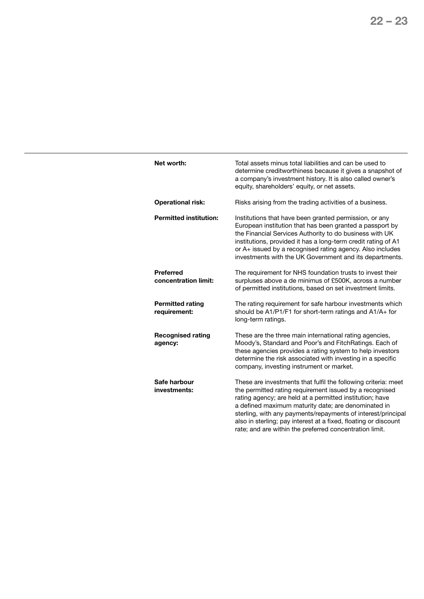| Net worth:                               | Total assets minus total liabilities and can be used to<br>determine creditworthiness because it gives a snapshot of<br>a company's investment history. It is also called owner's<br>equity, shareholders' equity, or net assets.                                                                                                                                                                                                          |
|------------------------------------------|--------------------------------------------------------------------------------------------------------------------------------------------------------------------------------------------------------------------------------------------------------------------------------------------------------------------------------------------------------------------------------------------------------------------------------------------|
| <b>Operational risk:</b>                 | Risks arising from the trading activities of a business.                                                                                                                                                                                                                                                                                                                                                                                   |
| <b>Permitted institution:</b>            | Institutions that have been granted permission, or any<br>European institution that has been granted a passport by<br>the Financial Services Authority to do business with UK<br>institutions, provided it has a long-term credit rating of A1<br>or A+ issued by a recognised rating agency. Also includes<br>investments with the UK Government and its departments.                                                                     |
| <b>Preferred</b><br>concentration limit: | The requirement for NHS foundation trusts to invest their<br>surpluses above a de minimus of £500K, across a number<br>of permitted institutions, based on set investment limits.                                                                                                                                                                                                                                                          |
| <b>Permitted rating</b><br>requirement:  | The rating requirement for safe harbour investments which<br>should be A1/P1/F1 for short-term ratings and A1/A+ for<br>long-term ratings.                                                                                                                                                                                                                                                                                                 |
| <b>Recognised rating</b><br>agency:      | These are the three main international rating agencies,<br>Moody's, Standard and Poor's and FitchRatings. Each of<br>these agencies provides a rating system to help investors<br>determine the risk associated with investing in a specific<br>company, investing instrument or market.                                                                                                                                                   |
| Safe harbour<br>investments:             | These are investments that fulfil the following criteria: meet<br>the permitted rating requirement issued by a recognised<br>rating agency; are held at a permitted institution; have<br>a defined maximum maturity date; are denominated in<br>sterling, with any payments/repayments of interest/principal<br>also in sterling; pay interest at a fixed, floating or discount<br>rate; and are within the preferred concentration limit. |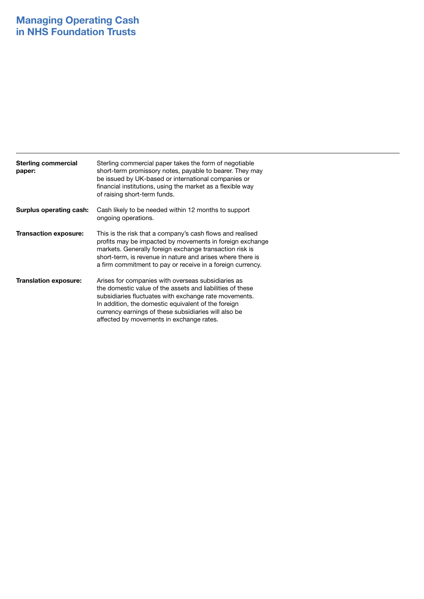| <b>Sterling commercial</b><br>paper: | Sterling commercial paper takes the form of negotiable<br>short-term promissory notes, payable to bearer. They may<br>be issued by UK-based or international companies or<br>financial institutions, using the market as a flexible way<br>of raising short-term funds.                                                             |
|--------------------------------------|-------------------------------------------------------------------------------------------------------------------------------------------------------------------------------------------------------------------------------------------------------------------------------------------------------------------------------------|
| Surplus operating cash:              | Cash likely to be needed within 12 months to support<br>ongoing operations.                                                                                                                                                                                                                                                         |
| <b>Transaction exposure:</b>         | This is the risk that a company's cash flows and realised<br>profits may be impacted by movements in foreign exchange<br>markets. Generally foreign exchange transaction risk is<br>short-term, is revenue in nature and arises where there is<br>a firm commitment to pay or receive in a foreign currency.                        |
| <b>Translation exposure:</b>         | Arises for companies with overseas subsidiaries as<br>the domestic value of the assets and liabilities of these<br>subsidiaries fluctuates with exchange rate movements.<br>In addition, the domestic equivalent of the foreign<br>currency earnings of these subsidiaries will also be<br>affected by movements in exchange rates. |